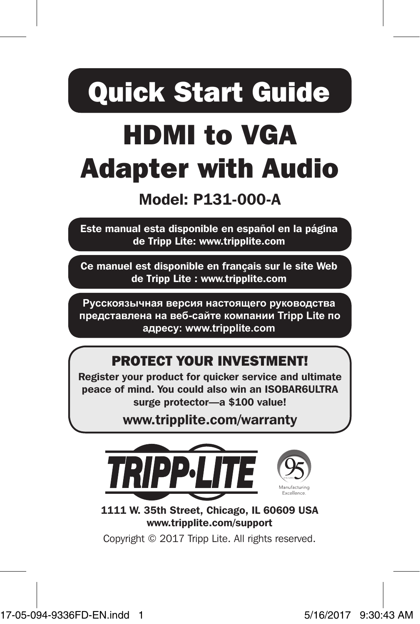# Quick Start Guide

## HDMI to VGA Adapter with Audio

## Model: P131-000-A

Este manual esta disponible en español en la página de Tripp Lite: www.tripplite.com

Ce manuel est disponible en français sur le site Web de Tripp Lite : www.tripplite.com

**Русскоязычная версия настоящего руководства представлена на веб-сайте компании Tripp Lite по адресу: www.tripplite.com**

#### PROTECT YOUR INVESTMENT!

Register your product for quicker service and ultimate peace of mind. You could also win an ISOBAR6ULTRA surge protector—a \$100 value!

www.tripplite.com/warranty



1111 W. 35th Street, Chicago, IL 60609 USA www.tripplite.com/support

Copyright © 2017 Tripp Lite. All rights reserved.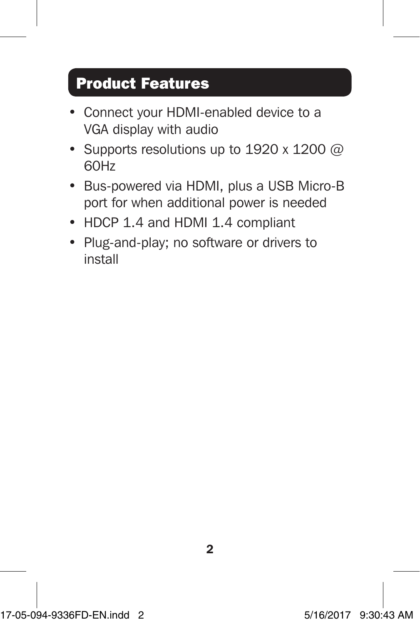## Product Features

- Connect your HDMI-enabled device to a VGA display with audio
- Supports resolutions up to 1920 x 1200  $@$ 60Hz
- Bus-powered via HDMI, plus a USB Micro-B port for when additional power is needed
- HDCP 1.4 and HDMI 1.4 compliant
- Plug-and-play; no software or drivers to install

2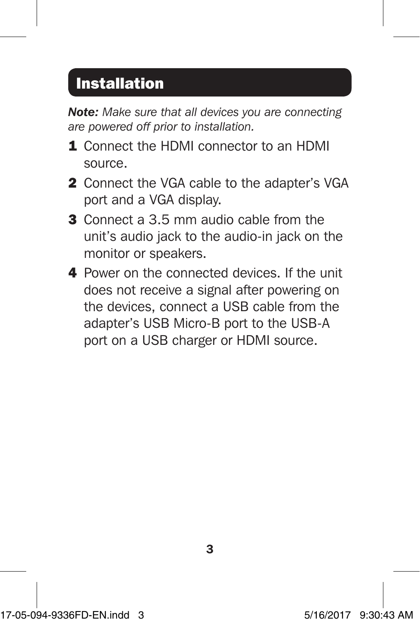### Installation

*Note: Make sure that all devices you are connecting are powered off prior to installation.*

- 1. Connect the HDMI connector to an HDMI source.
- 2 Connect the VGA cable to the adapter's VGA port and a VGA display.
- 3 Connect a 3.5 mm audio cable from the unit's audio jack to the audio-in jack on the monitor or speakers.
- 4 Power on the connected devices. If the unit does not receive a signal after powering on the devices, connect a USB cable from the adapter's USB Micro-B port to the USB-A port on a USB charger or HDMI source.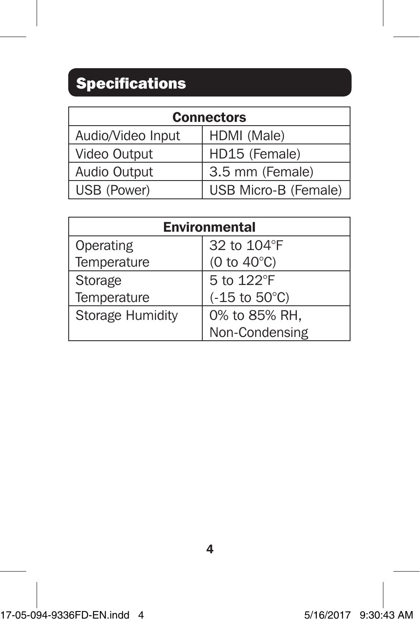## Specifications

| <b>Connectors</b> |                      |
|-------------------|----------------------|
| Audio/Video Input | HDMI (Male)          |
| Video Output      | HD15 (Female)        |
| Audio Output      | 3.5 mm (Female)      |
| USB (Power)       | USB Micro-B (Female) |

| <b>Environmental</b> |                           |
|----------------------|---------------------------|
| Operating            | 32 to 104°F               |
| Temperature          | (0 to $40^{\circ}$ C)     |
| Storage              | 5 to 122°F                |
| Temperature          | $(-15$ to $50^{\circ}$ C) |
| Storage Humidity     | 0% to 85% RH,             |
|                      | Non-Condensing            |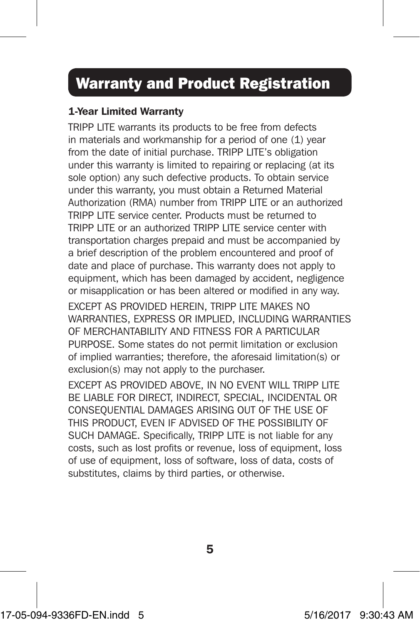#### Warranty and Product Registration

#### 1-Year Limited Warranty

TRIPP LITE warrants its products to be free from defects in materials and workmanship for a period of one (1) year from the date of initial purchase. TRIPP LITE's obligation under this warranty is limited to repairing or replacing (at its sole option) any such defective products. To obtain service under this warranty, you must obtain a Returned Material Authorization (RMA) number from TRIPP LITE or an authorized TRIPP LITE service center. Products must be returned to TRIPP LITE or an authorized TRIPP LITE service center with transportation charges prepaid and must be accompanied by a brief description of the problem encountered and proof of date and place of purchase. This warranty does not apply to equipment, which has been damaged by accident, negligence or misapplication or has been altered or modified in any way.

EXCEPT AS PROVIDED HEREIN, TRIPP LITE MAKES NO WARRANTIES, EXPRESS OR IMPLIED, INCLUDING WARRANTIES OF MERCHANTABILITY AND FITNESS FOR A PARTICULAR PURPOSE. Some states do not permit limitation or exclusion of implied warranties; therefore, the aforesaid limitation(s) or exclusion(s) may not apply to the purchaser.

EXCEPT AS PROVIDED ABOVE, IN NO EVENT WILL TRIPP LITE BE LIABLE FOR DIRECT, INDIRECT, SPECIAL, INCIDENTAL OR CONSEQUENTIAL DAMAGES ARISING OUT OF THE USE OF THIS PRODUCT, EVEN IF ADVISED OF THE POSSIBILITY OF SUCH DAMAGE. Specifically, TRIPP LITE is not liable for any costs, such as lost profits or revenue, loss of equipment, loss of use of equipment, loss of software, loss of data, costs of substitutes, claims by third parties, or otherwise.

5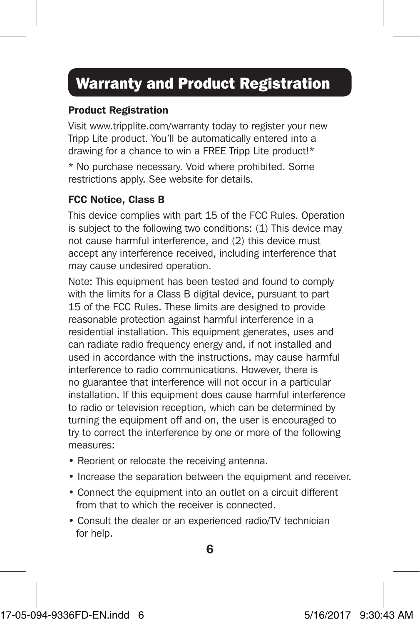## Warranty and Product Registration

#### Product Registration

Visit www.tripplite.com/warranty today to register your new Tripp Lite product. You'll be automatically entered into a drawing for a chance to win a FREE Tripp Lite product!\*

\* No purchase necessary. Void where prohibited. Some restrictions apply. See website for details.

#### FCC Notice, Class B

This device complies with part 15 of the FCC Rules. Operation is subject to the following two conditions: (1) This device may not cause harmful interference, and (2) this device must accept any interference received, including interference that may cause undesired operation.

Note: This equipment has been tested and found to comply with the limits for a Class B digital device, pursuant to part 15 of the FCC Rules. These limits are designed to provide reasonable protection against harmful interference in a residential installation. This equipment generates, uses and can radiate radio frequency energy and, if not installed and used in accordance with the instructions, may cause harmful interference to radio communications. However, there is no guarantee that interference will not occur in a particular installation. If this equipment does cause harmful interference to radio or television reception, which can be determined by turning the equipment off and on, the user is encouraged to try to correct the interference by one or more of the following measures:

- Reorient or relocate the receiving antenna.
- Increase the separation between the equipment and receiver.
- Connect the equipment into an outlet on a circuit different from that to which the receiver is connected.
- Consult the dealer or an experienced radio/TV technician for help.

6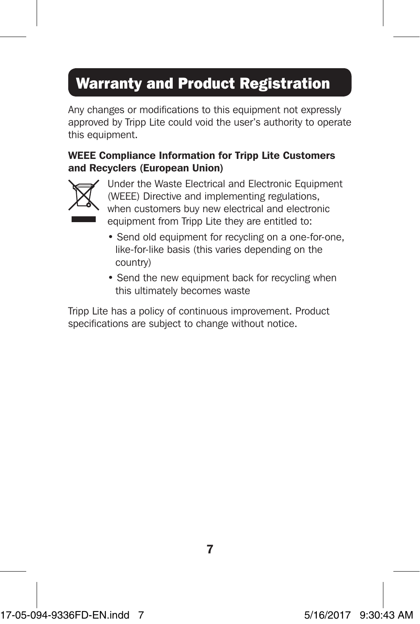## Warranty and Product Registration

Any changes or modifications to this equipment not expressly approved by Tripp Lite could void the user's authority to operate this equipment.

#### WEEE Compliance Information for Tripp Lite Customers and Recyclers (European Union)



Under the Waste Electrical and Electronic Equipment (WEEE) Directive and implementing regulations, when customers buy new electrical and electronic equipment from Tripp Lite they are entitled to:

- Send old equipment for recycling on a one-for-one, like-for-like basis (this varies depending on the country)
- Send the new equipment back for recycling when this ultimately becomes waste

Tripp Lite has a policy of continuous improvement. Product specifications are subject to change without notice.